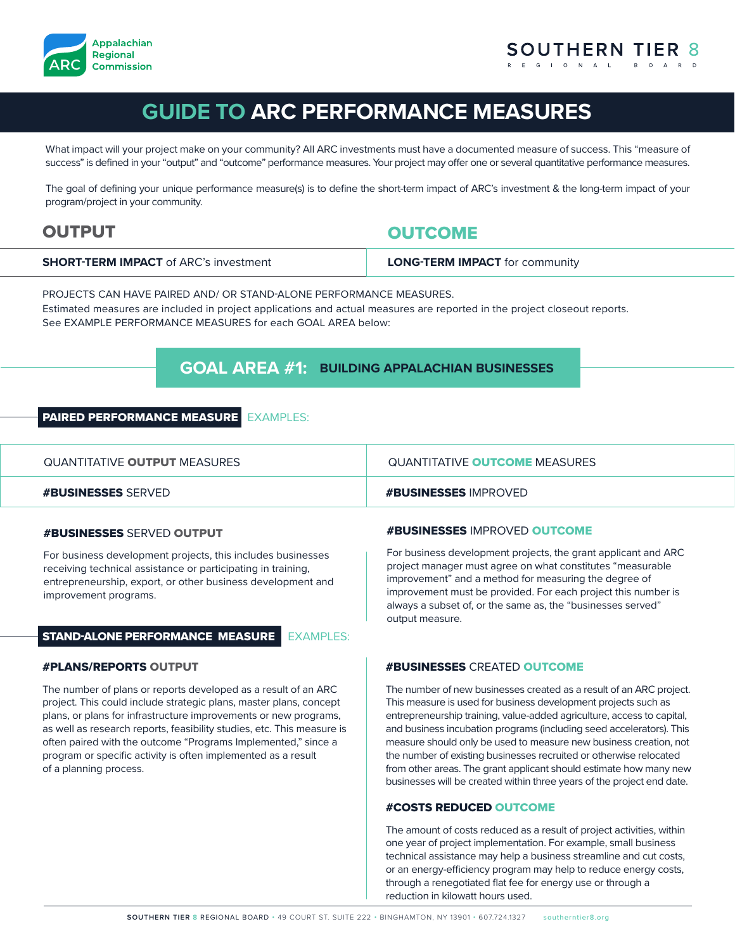

# **GUIDE TO ARC PERFORMANCE MEASURES**

What impact will your project make on your community? All ARC investments must have a documented measure of success. This "measure of success" is defined in your "output" and "outcome" performance measures. Your project may offer one or several quantitative performance measures.

The goal of defining your unique performance measure(s) is to define the short-term impact of ARC's investment & the long-term impact of your program/project in your community.

# OUTPUT THE CONTROL OUTCOME

| <b>LONG-TERM IMPACT</b> for community |
|---------------------------------------|
|                                       |

PROJECTS CAN HAVE PAIRED AND/ OR STAND-ALONE PERFORMANCE MEASURES.

Estimated measures are included in project applications and actual measures are reported in the project closeout reports. See EXAMPLE PERFORMANCE MEASURES for each GOAL AREA below:

# **GOAL AREA #1: BUILDING APPALACHIAN BUSINESSES**

# PAIRED PERFORMANCE MEASURE EXAMPLES:

| QUANTITATIVE <b>OUTPUT</b> MEASURES | QUANTITATIVE <b>OUTCOME</b> MEASURES |
|-------------------------------------|--------------------------------------|
| <b>#BUSINESSES</b> SERVED           | <b>#BUSINESSES IMPROVED</b>          |

# #BUSINESSES SERVED OUTPUT

For business development projects, this includes businesses receiving technical assistance or participating in training, entrepreneurship, export, or other business development and improvement programs.

# STAND-ALONE PERFORMANCE MEASURE EXAMPLES:

# #PLANS/REPORTS OUTPUT

The number of plans or reports developed as a result of an ARC project. This could include strategic plans, master plans, concept plans, or plans for infrastructure improvements or new programs, as well as research reports, feasibility studies, etc. This measure is often paired with the outcome "Programs Implemented," since a program or specific activity is often implemented as a result of a planning process.

# #BUSINESSES IMPROVED OUTCOME

For business development projects, the grant applicant and ARC project manager must agree on what constitutes "measurable improvement" and a method for measuring the degree of improvement must be provided. For each project this number is always a subset of, or the same as, the "businesses served" output measure.

# #BUSINESSES CREATED OUTCOME

The number of new businesses created as a result of an ARC project. This measure is used for business development projects such as entrepreneurship training, value-added agriculture, access to capital, and business incubation programs (including seed accelerators). This measure should only be used to measure new business creation, not the number of existing businesses recruited or otherwise relocated from other areas. The grant applicant should estimate how many new businesses will be created within three years of the project end date.

# #COSTS REDUCED OUTCOME

The amount of costs reduced as a result of project activities, within one year of project implementation. For example, small business technical assistance may help a business streamline and cut costs, or an energy-efficiency program may help to reduce energy costs, through a renegotiated flat fee for energy use or through a reduction in kilowatt hours used.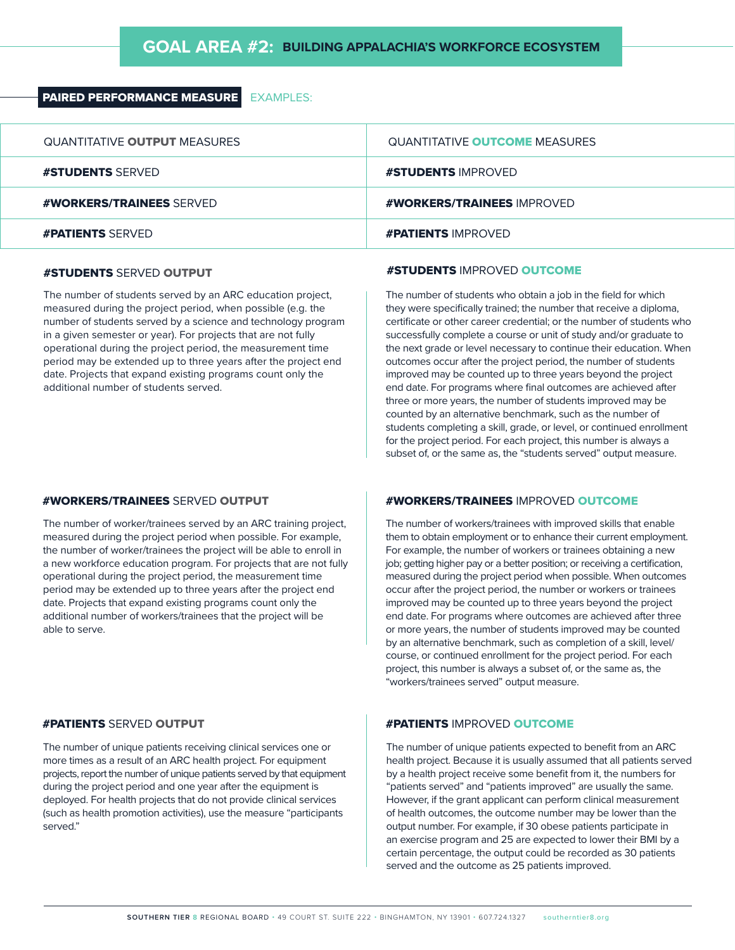# PAIRED PERFORMANCE MEASURE EXAMPLES:

| QUANTITATIVE OUTPUT MEASURES    | <b>QUANTITATIVE OUTCOME MEASURES</b> |
|---------------------------------|--------------------------------------|
| <b>#STUDENTS SERVED</b>         | <b>#STUDENTS IMPROVED</b>            |
| <b>#WORKERS/TRAINEES SERVED</b> | #WORKERS/TRAINEES IMPROVED           |
| <b>#PATIENTS SERVED</b>         | <b>#PATIENTS IMPROVED</b>            |

# #STUDENTS SERVED OUTPUT

The number of students served by an ARC education project, measured during the project period, when possible (e.g. the number of students served by a science and technology program in a given semester or year). For projects that are not fully operational during the project period, the measurement time period may be extended up to three years after the project end date. Projects that expand existing programs count only the additional number of students served.

# **#STUDENTS IMPROVED OUTCOME**

The number of students who obtain a job in the field for which they were specifically trained; the number that receive a diploma, certificate or other career credential; or the number of students who successfully complete a course or unit of study and/or graduate to the next grade or level necessary to continue their education. When outcomes occur after the project period, the number of students improved may be counted up to three years beyond the project end date. For programs where final outcomes are achieved after three or more years, the number of students improved may be counted by an alternative benchmark, such as the number of students completing a skill, grade, or level, or continued enrollment for the project period. For each project, this number is always a subset of, or the same as, the "students served" output measure.

# #WORKERS/TRAINEES SERVED OUTPUT

The number of worker/trainees served by an ARC training project, measured during the project period when possible. For example, the number of worker/trainees the project will be able to enroll in a new workforce education program. For projects that are not fully operational during the project period, the measurement time period may be extended up to three years after the project end date. Projects that expand existing programs count only the additional number of workers/trainees that the project will be able to serve.

# #PATIENTS SERVED OUTPUT

The number of unique patients receiving clinical services one or more times as a result of an ARC health project. For equipment projects, report the number of unique patients served by that equipment during the project period and one year after the equipment is deployed. For health projects that do not provide clinical services (such as health promotion activities), use the measure "participants served."

# #WORKERS/TRAINEES IMPROVED OUTCOME

The number of workers/trainees with improved skills that enable them to obtain employment or to enhance their current employment. For example, the number of workers or trainees obtaining a new job; getting higher pay or a better position; or receiving a certification, measured during the project period when possible. When outcomes occur after the project period, the number or workers or trainees improved may be counted up to three years beyond the project end date. For programs where outcomes are achieved after three or more years, the number of students improved may be counted by an alternative benchmark, such as completion of a skill, level/ course, or continued enrollment for the project period. For each project, this number is always a subset of, or the same as, the "workers/trainees served" output measure.

# #PATIENTS IMPROVED OUTCOME

The number of unique patients expected to benefit from an ARC health project. Because it is usually assumed that all patients served by a health project receive some benefit from it, the numbers for "patients served" and "patients improved" are usually the same. However, if the grant applicant can perform clinical measurement of health outcomes, the outcome number may be lower than the output number. For example, if 30 obese patients participate in an exercise program and 25 are expected to lower their BMI by a certain percentage, the output could be recorded as 30 patients served and the outcome as 25 patients improved.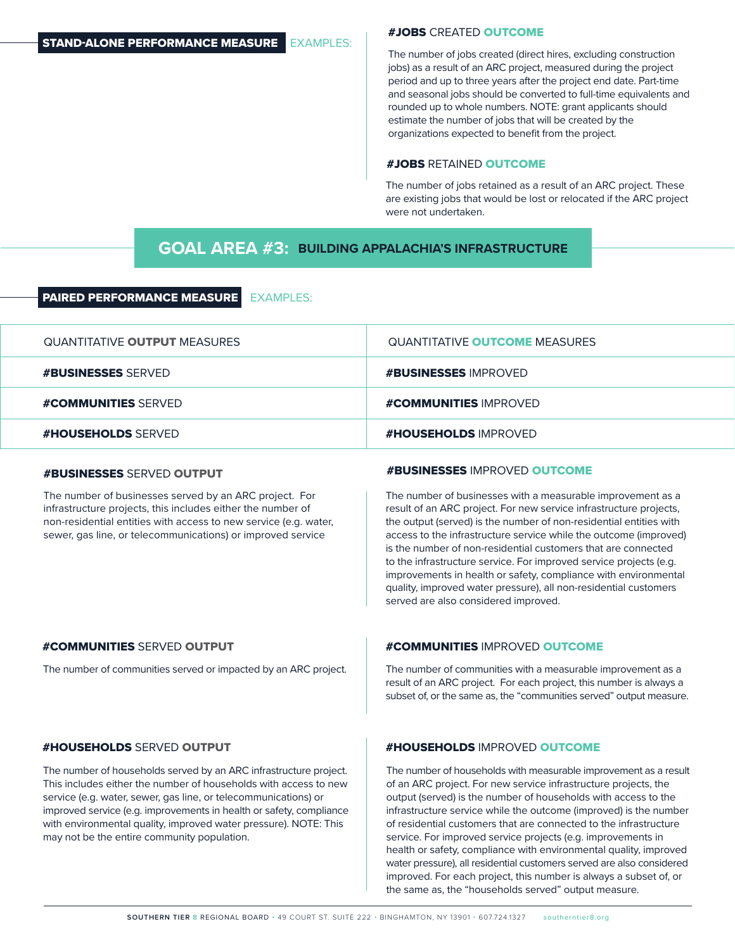# #JOBS CREATED OUTCOME

The number of jobs created (direct hires, excluding construction jobs) as a result of an ARC project, measured during the project period and up to three years after the project end date. Part-time and seasonal jobs should be converted to full-time equivalents and rounded up to whole numbers. NOTE: grant applicants should estimate the number of jobs that will be created by the organizations expected to benefit from the project.

# #JOBS RETAINED OUTCOME

The number of jobs retained as a result of an ARC project. These are existing jobs that would be lost or relocated if the ARC project were not undertaken.

# **GOAL AREA #3: BUILDING APPALACHIA'S INFRASTRUCTURE**

# PAIRED PERFORMANCE MEASURE EXAMPLES:

| QUANTITATIVE <b>OUTPUT</b> MEASURES | <b>QUANTITATIVE OUTCOME MEASURES</b> |
|-------------------------------------|--------------------------------------|
| <b>#BUSINESSES SFRVFD</b>           | <b>#BUSINESSES IMPROVED</b>          |
| <b>#COMMUNITIES SERVED</b>          | <b>#COMMUNITIES IMPROVED</b>         |
| <b>#HOUSEHOLDS</b> SFRVED           | <b>#HOUSEHOLDS IMPROVED</b>          |

# #BUSINESSES SERVED OUTPUT

The number of businesses served by an ARC project. For infrastructure projects, this includes either the number of non-residential entities with access to new service (e.g. water, sewer, gas line, or telecommunications) or improved service

# #BUSINESSES IMPROVED OUTCOME

The number of businesses with a measurable improvement as a result of an ARC project. For new service infrastructure projects, the output (served) is the number of non-residential entities with access to the infrastructure service while the outcome (improved) is the number of non-residential customers that are connected to the infrastructure service. For improved service projects (e.g. improvements in health or safety, compliance with environmental quality, improved water pressure), all non-residential customers served are also considered improved.

The number of communities served or impacted by an ARC project.

# #COMMUNITIES SERVED OUTPUT **#COMMUNITIES IMPROVED OUTCOME**

The number of communities with a measurable improvement as a result of an ARC project. For each project, this number is always a subset of, or the same as, the "communities served" output measure.

The number of households served by an ARC infrastructure project. This includes either the number of households with access to new service (e.g. water, sewer, gas line, or telecommunications) or improved service (e.g. improvements in health or safety, compliance with environmental quality, improved water pressure). NOTE: This may not be the entire community population.

# #HOUSEHOLDS SERVED OUTPUT #HOUSEHOLDS IMPROVED OUTCOME

The number of households with measurable improvement as a result of an ARC project. For new service infrastructure projects, the output (served) is the number of households with access to the infrastructure service while the outcome (improved) is the number of residential customers that are connected to the infrastructure service. For improved service projects (e.g. improvements in health or safety, compliance with environmental quality, improved water pressure), all residential customers served are also considered improved. For each project, this number is always a subset of, or the same as, the "households served" output measure.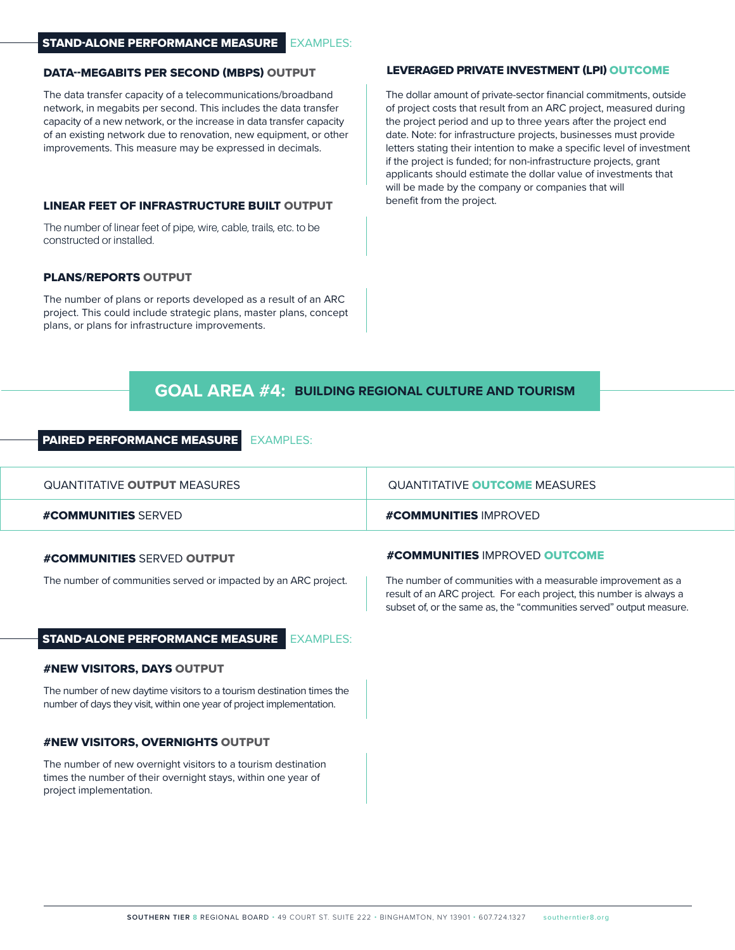# STAND-ALONE PERFORMANCE MEASURE EXAMPLES:

# DATA--MEGABITS PER SECOND (MBPS) OUTPUT

The data transfer capacity of a telecommunications/broadband network, in megabits per second. This includes the data transfer capacity of a new network, or the increase in data transfer capacity of an existing network due to renovation, new equipment, or other improvements. This measure may be expressed in decimals.

# LINEAR FEET OF INFRASTRUCTURE BUILT OUTPUT

The number of linear feet of pipe, wire, cable, trails, etc. to be constructed or installed.

# PLANS/REPORTS OUTPUT

The number of plans or reports developed as a result of an ARC project. This could include strategic plans, master plans, concept plans, or plans for infrastructure improvements.

# LEVERAGED PRIVATE INVESTMENT (LPI) OUTCOME

The dollar amount of private-sector financial commitments, outside of project costs that result from an ARC project, measured during the project period and up to three years after the project end date. Note: for infrastructure projects, businesses must provide letters stating their intention to make a specific level of investment if the project is funded; for non-infrastructure projects, grant applicants should estimate the dollar value of investments that will be made by the company or companies that will benefit from the project.

# **GOAL AREA #4: BUILDING REGIONAL CULTURE AND TOURISM**

# PAIRED PERFORMANCE MEASURE EXAMPLES:

| QUANTITATIVE OUTPUT MEASURES | QUANTITATIVE <b>OUTCOME</b> MEASURES |
|------------------------------|--------------------------------------|
| <b>#COMMUNITIES SFRVED</b>   | <b>#COMMUNITIES IMPROVED</b>         |

### #COMMUNITIES SERVED OUTPUT

The number of communities served or impacted by an ARC project. | The number of communities with a measurable improvement as a

# STAND-ALONE PERFORMANCE MEASURE EXAMPLES:

# #NEW VISITORS, DAYS OUTPUT

The number of new daytime visitors to a tourism destination times the number of days they visit, within one year of project implementation.

### #NEW VISITORS, OVERNIGHTS OUTPUT

The number of new overnight visitors to a tourism destination times the number of their overnight stays, within one year of project implementation.

# #COMMUNITIES IMPROVED OUTCOME

result of an ARC project. For each project, this number is always a subset of, or the same as, the "communities served" output measure.